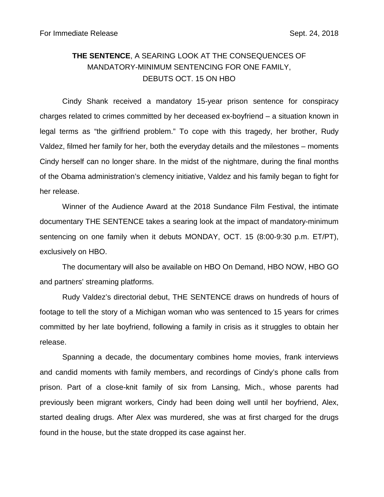## **THE SENTENCE**, A SEARING LOOK AT THE CONSEQUENCES OF MANDATORY-MINIMUM SENTENCING FOR ONE FAMILY, DEBUTS OCT. 15 ON HBO

Cindy Shank received a mandatory 15-year prison sentence for conspiracy charges related to crimes committed by her deceased ex-boyfriend – a situation known in legal terms as "the girlfriend problem." To cope with this tragedy, her brother, Rudy Valdez, filmed her family for her, both the everyday details and the milestones – moments Cindy herself can no longer share. In the midst of the nightmare, during the final months of the Obama administration's clemency initiative, Valdez and his family began to fight for her release.

Winner of the Audience Award at the 2018 Sundance Film Festival, the intimate documentary THE SENTENCE takes a searing look at the impact of mandatory-minimum sentencing on one family when it debuts MONDAY, OCT. 15 (8:00-9:30 p.m. ET/PT), exclusively on HBO.

The documentary will also be available on HBO On Demand, HBO NOW, HBO GO and partners' streaming platforms.

Rudy Valdez's directorial debut, THE SENTENCE draws on hundreds of hours of footage to tell the story of a Michigan woman who was sentenced to 15 years for crimes committed by her late boyfriend, following a family in crisis as it struggles to obtain her release.

Spanning a decade, the documentary combines home movies, frank interviews and candid moments with family members, and recordings of Cindy's phone calls from prison. Part of a close-knit family of six from Lansing, Mich., whose parents had previously been migrant workers, Cindy had been doing well until her boyfriend, Alex, started dealing drugs. After Alex was murdered, she was at first charged for the drugs found in the house, but the state dropped its case against her.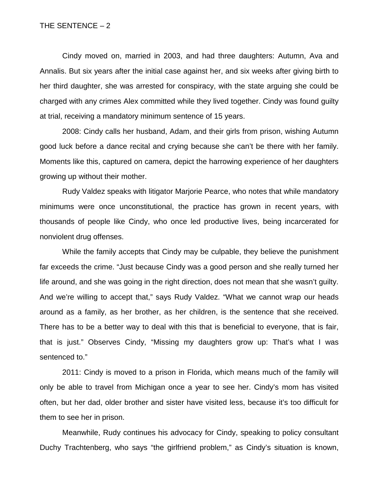Cindy moved on, married in 2003, and had three daughters: Autumn, Ava and Annalis. But six years after the initial case against her, and six weeks after giving birth to her third daughter, she was arrested for conspiracy, with the state arguing she could be charged with any crimes Alex committed while they lived together. Cindy was found guilty at trial, receiving a mandatory minimum sentence of 15 years.

2008: Cindy calls her husband, Adam, and their girls from prison, wishing Autumn good luck before a dance recital and crying because she can't be there with her family. Moments like this, captured on camera, depict the harrowing experience of her daughters growing up without their mother.

Rudy Valdez speaks with litigator Marjorie Pearce, who notes that while mandatory minimums were once unconstitutional, the practice has grown in recent years, with thousands of people like Cindy, who once led productive lives, being incarcerated for nonviolent drug offenses.

While the family accepts that Cindy may be culpable, they believe the punishment far exceeds the crime. "Just because Cindy was a good person and she really turned her life around, and she was going in the right direction, does not mean that she wasn't guilty. And we're willing to accept that," says Rudy Valdez. "What we cannot wrap our heads around as a family, as her brother, as her children, is the sentence that she received. There has to be a better way to deal with this that is beneficial to everyone, that is fair, that is just." Observes Cindy, "Missing my daughters grow up: That's what I was sentenced to."

2011: Cindy is moved to a prison in Florida, which means much of the family will only be able to travel from Michigan once a year to see her. Cindy's mom has visited often, but her dad, older brother and sister have visited less, because it's too difficult for them to see her in prison.

Meanwhile, Rudy continues his advocacy for Cindy, speaking to policy consultant Duchy Trachtenberg, who says "the girlfriend problem," as Cindy's situation is known,